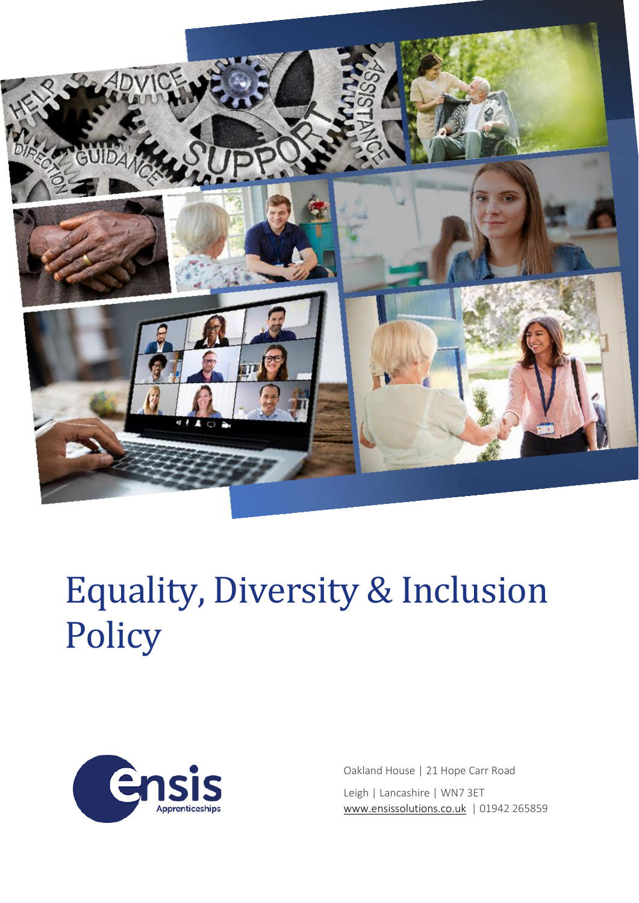

# Equality, Diversity & Inclusion **Policy**



Oakland House | 21 Hope Carr Road Leigh | Lancashire | WN7 3ET [www.ensissolutions.co.uk](http://www.ensissolutions.co.uk/) | 01942 265859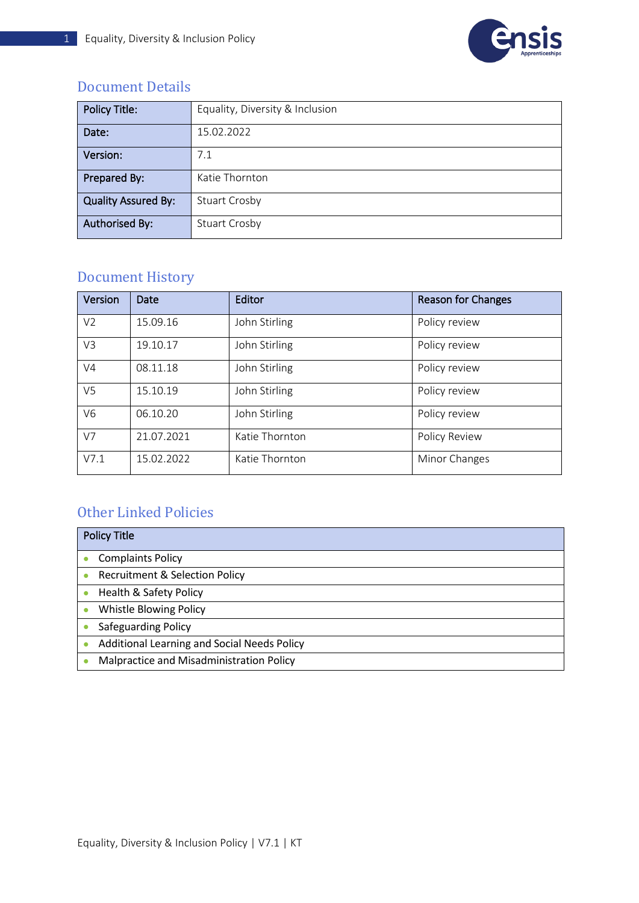

#### <span id="page-1-0"></span>Document Details

| <b>Policy Title:</b>       | Equality, Diversity & Inclusion |
|----------------------------|---------------------------------|
| Date:                      | 15.02.2022                      |
| Version:                   | 7.1                             |
| Prepared By:               | Katie Thornton                  |
| <b>Quality Assured By:</b> | <b>Stuart Crosby</b>            |
| <b>Authorised By:</b>      | <b>Stuart Crosby</b>            |

### <span id="page-1-1"></span>Document History

| Version        | Date       | Editor         | <b>Reason for Changes</b> |
|----------------|------------|----------------|---------------------------|
| V <sub>2</sub> | 15.09.16   | John Stirling  | Policy review             |
| V3             | 19.10.17   | John Stirling  | Policy review             |
| V <sub>4</sub> | 08.11.18   | John Stirling  | Policy review             |
| V <sub>5</sub> | 15.10.19   | John Stirling  | Policy review             |
| V <sub>6</sub> | 06.10.20   | John Stirling  | Policy review             |
| V7             | 21.07.2021 | Katie Thornton | Policy Review             |
| V7.1           | 15.02.2022 | Katie Thornton | Minor Changes             |

### <span id="page-1-2"></span>Other Linked Policies

| <b>Policy Title</b>                         |  |  |
|---------------------------------------------|--|--|
| <b>Complaints Policy</b>                    |  |  |
| <b>Recruitment &amp; Selection Policy</b>   |  |  |
| Health & Safety Policy                      |  |  |
| Whistle Blowing Policy                      |  |  |
| <b>Safeguarding Policy</b>                  |  |  |
| Additional Learning and Social Needs Policy |  |  |
| Malpractice and Misadministration Policy    |  |  |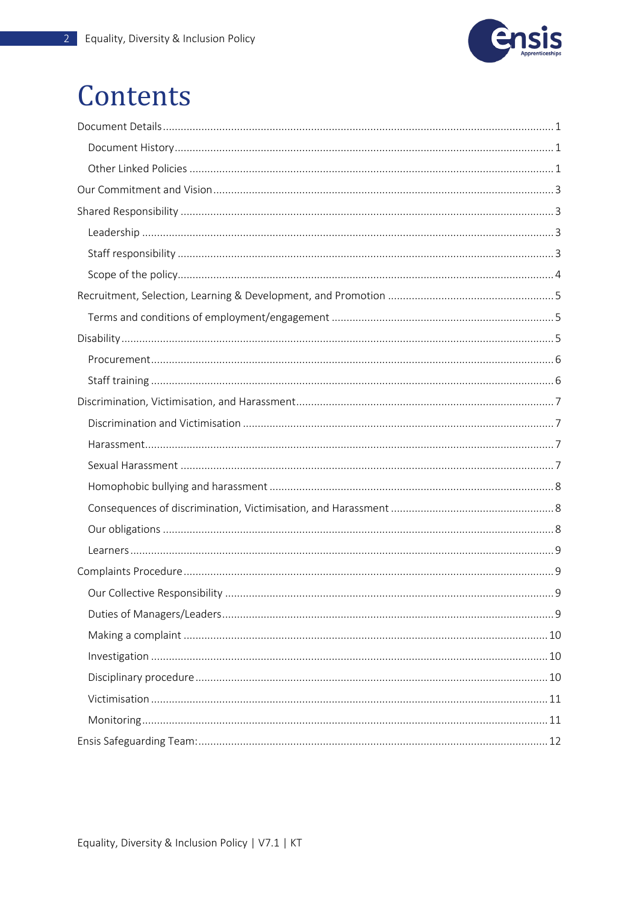

### Contents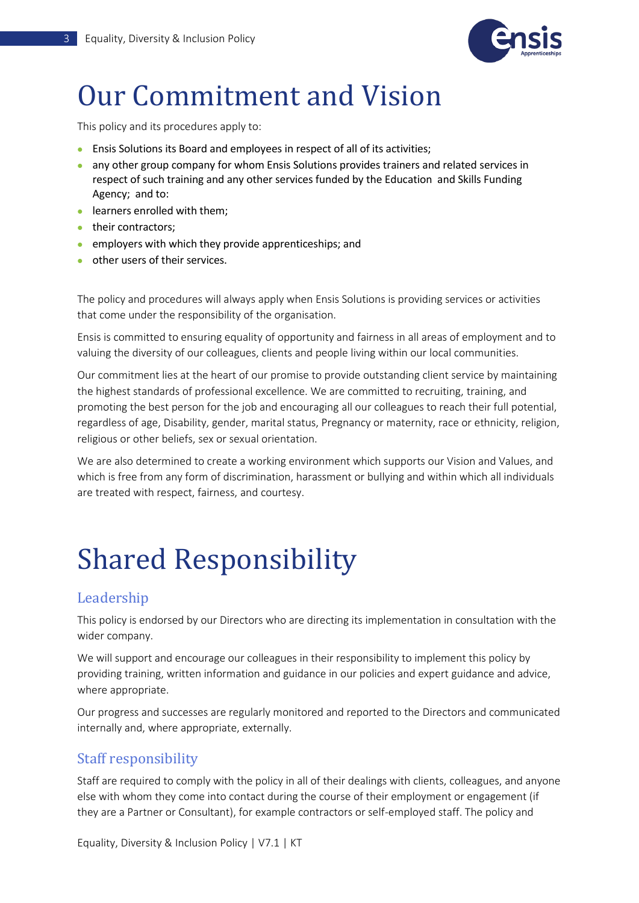

## <span id="page-3-0"></span>Our Commitment and Vision

This policy and its procedures apply to:

- Ensis Solutions its Board and employees in respect of all of its activities;
- any other group company for whom Ensis Solutions provides trainers and related services in respect of such training and any other services funded by the Education and Skills Funding Agency; and to:
- learners enrolled with them;
- their contractors;
- employers with which they provide apprenticeships; and
- other users of their services.

The policy and procedures will always apply when Ensis Solutions is providing services or activities that come under the responsibility of the organisation.

Ensis is committed to ensuring equality of opportunity and fairness in all areas of employment and to valuing the diversity of our colleagues, clients and people living within our local communities.

Our commitment lies at the heart of our promise to provide outstanding client service by maintaining the highest standards of professional excellence. We are committed to recruiting, training, and promoting the best person for the job and encouraging all our colleagues to reach their full potential, regardless of age, Disability, gender, marital status, Pregnancy or maternity, race or ethnicity, religion, religious or other beliefs, sex or sexual orientation.

We are also determined to create a working environment which supports our Vision and Values, and which is free from any form of discrimination, harassment or bullying and within which all individuals are treated with respect, fairness, and courtesy.

# <span id="page-3-1"></span>Shared Responsibility

#### <span id="page-3-2"></span>Leadership

This policy is endorsed by our Directors who are directing its implementation in consultation with the wider company.

We will support and encourage our colleagues in their responsibility to implement this policy by providing training, written information and guidance in our policies and expert guidance and advice, where appropriate.

Our progress and successes are regularly monitored and reported to the Directors and communicated internally and, where appropriate, externally.

#### <span id="page-3-3"></span>Staff responsibility

Staff are required to comply with the policy in all of their dealings with clients, colleagues, and anyone else with whom they come into contact during the course of their employment or engagement (if they are a Partner or Consultant), for example contractors or self-employed staff. The policy and

Equality, Diversity & Inclusion Policy | V7.1 | KT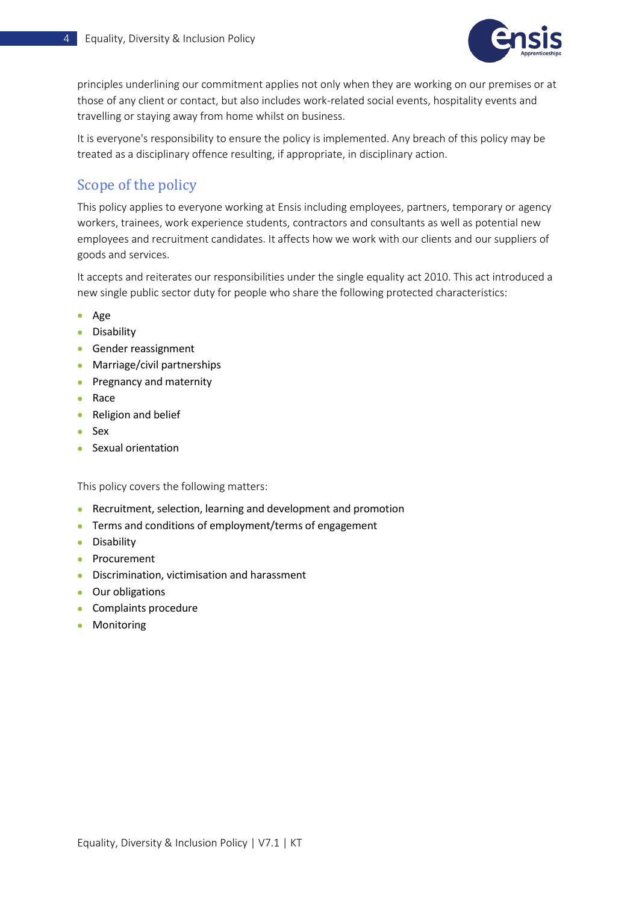

principles underlining our commitment applies not only when they are working on our premises or at those of any client or contact, but also includes work-related social events, hospitality events and travelling or staying away from home whilst on business.

It is everyone's responsibility to ensure the policy is implemented. Any breach of this policy may be treated as a disciplinary offence resulting, if appropriate, in disciplinary action.

#### <span id="page-4-0"></span>Scope of the policy

This policy applies to everyone working at Ensis including employees, partners, temporary or agency workers, trainees, work experience students, contractors and consultants as well as potential new employees and recruitment candidates. It affects how we work with our clients and our suppliers of goods and services.

It accepts and reiterates our responsibilities under the single equality act 2010. This act introduced a new single public sector duty for people who share the following protected characteristics:

- Age
- Disability
- Gender reassignment
- Marriage/civil partnerships
- Pregnancy and maternity
- Race
- Religion and belief
- Sex
- Sexual orientation

This policy covers the following matters:

- Recruitment, selection, learning and development and promotion
- Terms and conditions of employment/terms of engagement
- Disability
- Procurement
- Discrimination, victimisation and harassment
- Our obligations
- Complaints procedure
- Monitoring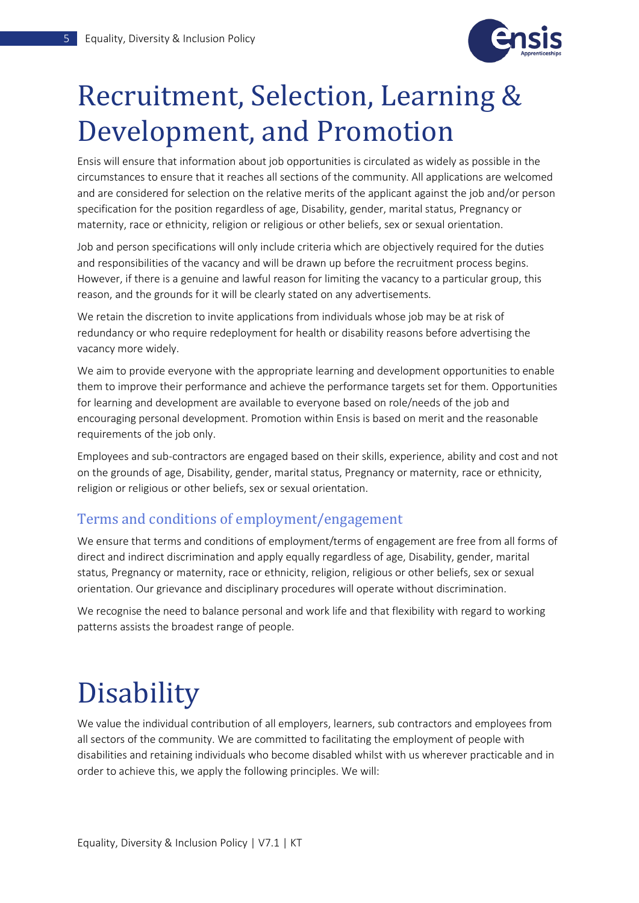

## <span id="page-5-0"></span>Recruitment, Selection, Learning & Development, and Promotion

Ensis will ensure that information about job opportunities is circulated as widely as possible in the circumstances to ensure that it reaches all sections of the community. All applications are welcomed and are considered for selection on the relative merits of the applicant against the job and/or person specification for the position regardless of age, Disability, gender, marital status, Pregnancy or maternity, race or ethnicity, religion or religious or other beliefs, sex or sexual orientation.

Job and person specifications will only include criteria which are objectively required for the duties and responsibilities of the vacancy and will be drawn up before the recruitment process begins. However, if there is a genuine and lawful reason for limiting the vacancy to a particular group, this reason, and the grounds for it will be clearly stated on any advertisements.

We retain the discretion to invite applications from individuals whose job may be at risk of redundancy or who require redeployment for health or disability reasons before advertising the vacancy more widely.

We aim to provide everyone with the appropriate learning and development opportunities to enable them to improve their performance and achieve the performance targets set for them. Opportunities for learning and development are available to everyone based on role/needs of the job and encouraging personal development. Promotion within Ensis is based on merit and the reasonable requirements of the job only.

Employees and sub-contractors are engaged based on their skills, experience, ability and cost and not on the grounds of age, Disability, gender, marital status, Pregnancy or maternity, race or ethnicity, religion or religious or other beliefs, sex or sexual orientation.

#### <span id="page-5-1"></span>Terms and conditions of employment/engagement

We ensure that terms and conditions of employment/terms of engagement are free from all forms of direct and indirect discrimination and apply equally regardless of age, Disability, gender, marital status, Pregnancy or maternity, race or ethnicity, religion, religious or other beliefs, sex or sexual orientation. Our grievance and disciplinary procedures will operate without discrimination.

We recognise the need to balance personal and work life and that flexibility with regard to working patterns assists the broadest range of people.

### <span id="page-5-2"></span>**Disability**

We value the individual contribution of all employers, learners, sub contractors and employees from all sectors of the community. We are committed to facilitating the employment of people with disabilities and retaining individuals who become disabled whilst with us wherever practicable and in order to achieve this, we apply the following principles. We will: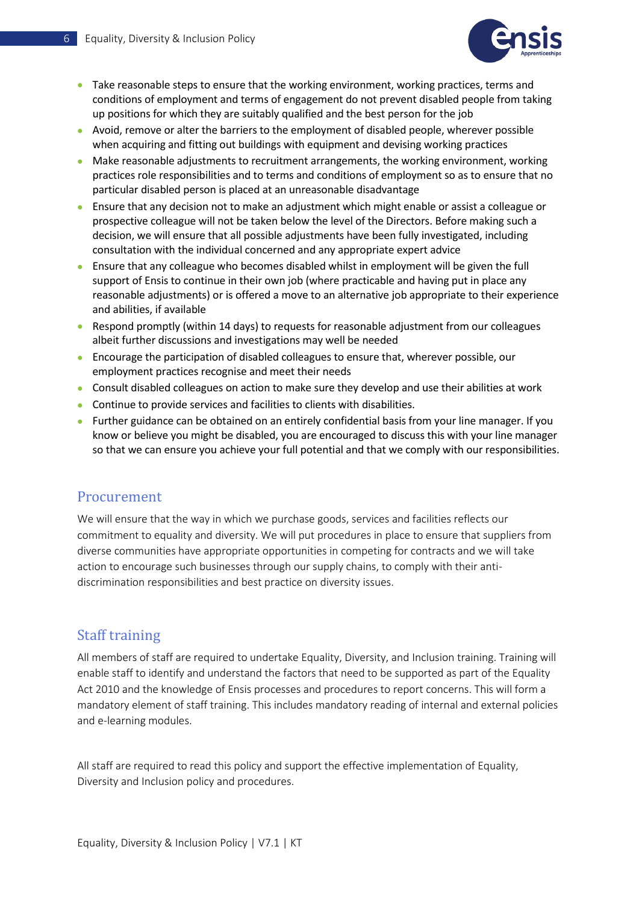

- Take reasonable steps to ensure that the working environment, working practices, terms and conditions of employment and terms of engagement do not prevent disabled people from taking up positions for which they are suitably qualified and the best person for the job
- Avoid, remove or alter the barriers to the employment of disabled people, wherever possible when acquiring and fitting out buildings with equipment and devising working practices
- Make reasonable adjustments to recruitment arrangements, the working environment, working practices role responsibilities and to terms and conditions of employment so as to ensure that no particular disabled person is placed at an unreasonable disadvantage
- Ensure that any decision not to make an adjustment which might enable or assist a colleague or prospective colleague will not be taken below the level of the Directors. Before making such a decision, we will ensure that all possible adjustments have been fully investigated, including consultation with the individual concerned and any appropriate expert advice
- Ensure that any colleague who becomes disabled whilst in employment will be given the full support of Ensis to continue in their own job (where practicable and having put in place any reasonable adjustments) or is offered a move to an alternative job appropriate to their experience and abilities, if available
- Respond promptly (within 14 days) to requests for reasonable adjustment from our colleagues albeit further discussions and investigations may well be needed
- Encourage the participation of disabled colleagues to ensure that, wherever possible, our employment practices recognise and meet their needs
- Consult disabled colleagues on action to make sure they develop and use their abilities at work
- Continue to provide services and facilities to clients with disabilities.
- Further guidance can be obtained on an entirely confidential basis from your line manager. If you know or believe you might be disabled, you are encouraged to discuss this with your line manager so that we can ensure you achieve your full potential and that we comply with our responsibilities.

#### <span id="page-6-0"></span>Procurement

We will ensure that the way in which we purchase goods, services and facilities reflects our commitment to equality and diversity. We will put procedures in place to ensure that suppliers from diverse communities have appropriate opportunities in competing for contracts and we will take action to encourage such businesses through our supply chains, to comply with their antidiscrimination responsibilities and best practice on diversity issues.

#### <span id="page-6-1"></span>Staff training

All members of staff are required to undertake Equality, Diversity, and Inclusion training. Training will enable staff to identify and understand the factors that need to be supported as part of the Equality Act 2010 and the knowledge of Ensis processes and procedures to report concerns. This will form a mandatory element of staff training. This includes mandatory reading of internal and external policies and e-learning modules.

All staff are required to read this policy and support the effective implementation of Equality, Diversity and Inclusion policy and procedures.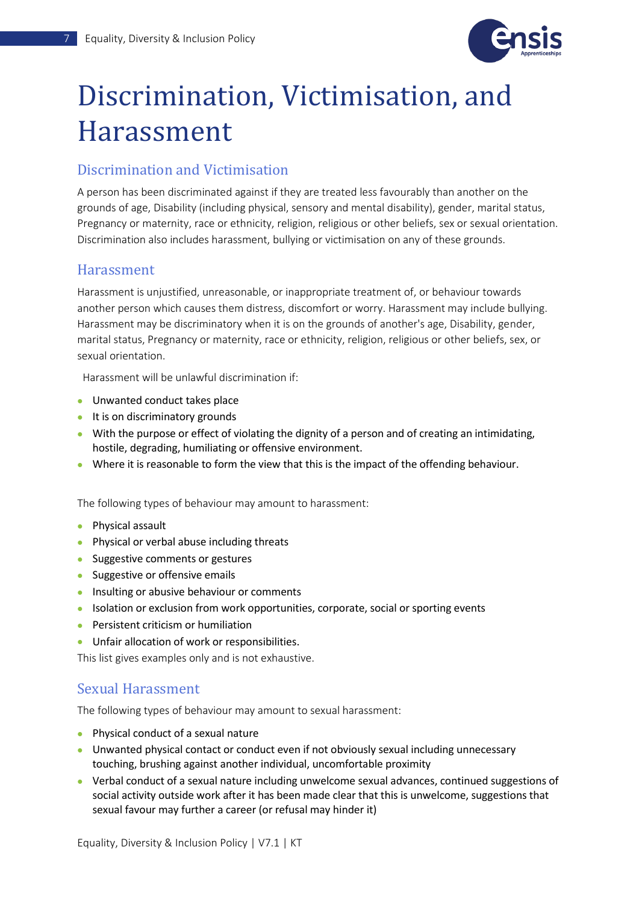

### <span id="page-7-0"></span>Discrimination, Victimisation, and Harassment

#### <span id="page-7-1"></span>Discrimination and Victimisation

A person has been discriminated against if they are treated less favourably than another on the grounds of age, Disability (including physical, sensory and mental disability), gender, marital status, Pregnancy or maternity, race or ethnicity, religion, religious or other beliefs, sex or sexual orientation. Discrimination also includes harassment, bullying or victimisation on any of these grounds.

#### <span id="page-7-2"></span>Harassment

Harassment is unjustified, unreasonable, or inappropriate treatment of, or behaviour towards another person which causes them distress, discomfort or worry. Harassment may include bullying. Harassment may be discriminatory when it is on the grounds of another's age, Disability, gender, marital status, Pregnancy or maternity, race or ethnicity, religion, religious or other beliefs, sex, or sexual orientation.

Harassment will be unlawful discrimination if:

- Unwanted conduct takes place
- It is on discriminatory grounds
- With the purpose or effect of violating the dignity of a person and of creating an intimidating, hostile, degrading, humiliating or offensive environment.
- Where it is reasonable to form the view that this is the impact of the offending behaviour.

The following types of behaviour may amount to harassment:

- Physical assault
- Physical or verbal abuse including threats
- Suggestive comments or gestures
- Suggestive or offensive emails
- Insulting or abusive behaviour or comments
- Isolation or exclusion from work opportunities, corporate, social or sporting events
- Persistent criticism or humiliation
- Unfair allocation of work or responsibilities.

This list gives examples only and is not exhaustive.

#### <span id="page-7-3"></span>Sexual Harassment

The following types of behaviour may amount to sexual harassment:

- Physical conduct of a sexual nature
- Unwanted physical contact or conduct even if not obviously sexual including unnecessary touching, brushing against another individual, uncomfortable proximity
- Verbal conduct of a sexual nature including unwelcome sexual advances, continued suggestions of social activity outside work after it has been made clear that this is unwelcome, suggestions that sexual favour may further a career (or refusal may hinder it)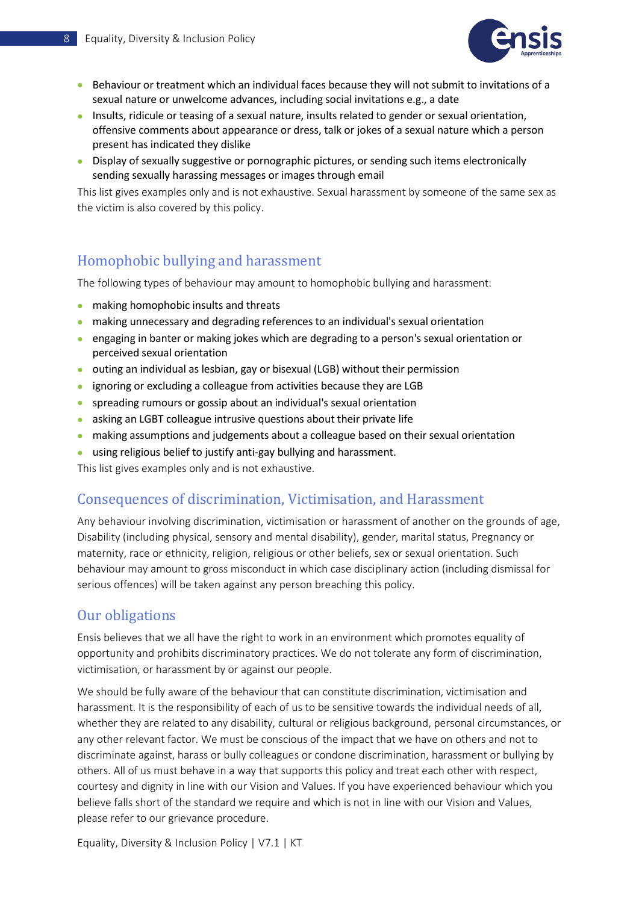

- Behaviour or treatment which an individual faces because they will not submit to invitations of a sexual nature or unwelcome advances, including social invitations e.g., a date
- Insults, ridicule or teasing of a sexual nature, insults related to gender or sexual orientation, offensive comments about appearance or dress, talk or jokes of a sexual nature which a person present has indicated they dislike
- Display of sexually suggestive or pornographic pictures, or sending such items electronically sending sexually harassing messages or images through email

This list gives examples only and is not exhaustive. Sexual harassment by someone of the same sex as the victim is also covered by this policy.

#### <span id="page-8-0"></span>Homophobic bullying and harassment

The following types of behaviour may amount to homophobic bullying and harassment:

- making homophobic insults and threats
- making unnecessary and degrading references to an individual's sexual orientation
- engaging in banter or making jokes which are degrading to a person's sexual orientation or perceived sexual orientation
- outing an individual as lesbian, gay or bisexual (LGB) without their permission
- ignoring or excluding a colleague from activities because they are LGB
- spreading rumours or gossip about an individual's sexual orientation
- asking an LGBT colleague intrusive questions about their private life
- making assumptions and judgements about a colleague based on their sexual orientation
- using religious belief to justify anti-gay bullying and harassment.

This list gives examples only and is not exhaustive.

#### <span id="page-8-1"></span>Consequences of discrimination, Victimisation, and Harassment

Any behaviour involving discrimination, victimisation or harassment of another on the grounds of age, Disability (including physical, sensory and mental disability), gender, marital status, Pregnancy or maternity, race or ethnicity, religion, religious or other beliefs, sex or sexual orientation. Such behaviour may amount to gross misconduct in which case disciplinary action (including dismissal for serious offences) will be taken against any person breaching this policy.

#### <span id="page-8-2"></span>Our obligations

Ensis believes that we all have the right to work in an environment which promotes equality of opportunity and prohibits discriminatory practices. We do not tolerate any form of discrimination, victimisation, or harassment by or against our people.

We should be fully aware of the behaviour that can constitute discrimination, victimisation and harassment. It is the responsibility of each of us to be sensitive towards the individual needs of all, whether they are related to any disability, cultural or religious background, personal circumstances, or any other relevant factor. We must be conscious of the impact that we have on others and not to discriminate against, harass or bully colleagues or condone discrimination, harassment or bullying by others. All of us must behave in a way that supports this policy and treat each other with respect, courtesy and dignity in line with our Vision and Values. If you have experienced behaviour which you believe falls short of the standard we require and which is not in line with our Vision and Values, please refer to our grievance procedure.

Equality, Diversity & Inclusion Policy | V7.1 | KT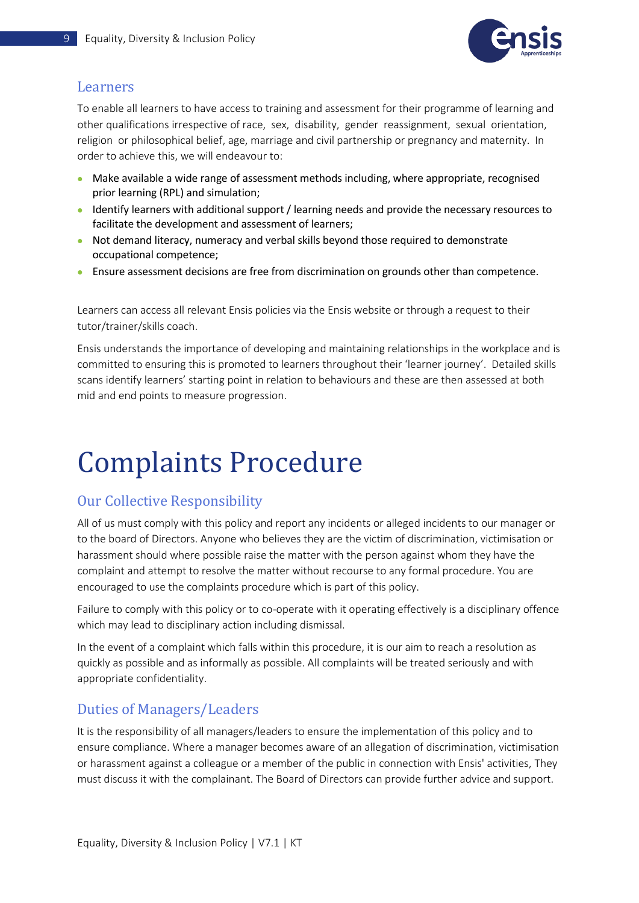

#### <span id="page-9-0"></span>Learners

To enable all learners to have access to training and assessment for their programme of learning and other qualifications irrespective of race, sex, disability, gender reassignment, sexual orientation, religion or philosophical belief, age, marriage and civil partnership or pregnancy and maternity. In order to achieve this, we will endeavour to:

- Make available a wide range of assessment methods including, where appropriate, recognised prior learning (RPL) and simulation;
- Identify learners with additional support / learning needs and provide the necessary resources to facilitate the development and assessment of learners;
- Not demand literacy, numeracy and verbal skills beyond those required to demonstrate occupational competence;
- Ensure assessment decisions are free from discrimination on grounds other than competence.

Learners can access all relevant Ensis policies via the Ensis website or through a request to their tutor/trainer/skills coach.

Ensis understands the importance of developing and maintaining relationships in the workplace and is committed to ensuring this is promoted to learners throughout their 'learner journey'. Detailed skills scans identify learners' starting point in relation to behaviours and these are then assessed at both mid and end points to measure progression.

# <span id="page-9-1"></span>Complaints Procedure

### <span id="page-9-2"></span>Our Collective Responsibility

All of us must comply with this policy and report any incidents or alleged incidents to our manager or to the board of Directors. Anyone who believes they are the victim of discrimination, victimisation or harassment should where possible raise the matter with the person against whom they have the complaint and attempt to resolve the matter without recourse to any formal procedure. You are encouraged to use the complaints procedure which is part of this policy.

Failure to comply with this policy or to co-operate with it operating effectively is a disciplinary offence which may lead to disciplinary action including dismissal.

In the event of a complaint which falls within this procedure, it is our aim to reach a resolution as quickly as possible and as informally as possible. All complaints will be treated seriously and with appropriate confidentiality.

#### <span id="page-9-3"></span>Duties of Managers/Leaders

It is the responsibility of all managers/leaders to ensure the implementation of this policy and to ensure compliance. Where a manager becomes aware of an allegation of discrimination, victimisation or harassment against a colleague or a member of the public in connection with Ensis' activities, They must discuss it with the complainant. The Board of Directors can provide further advice and support.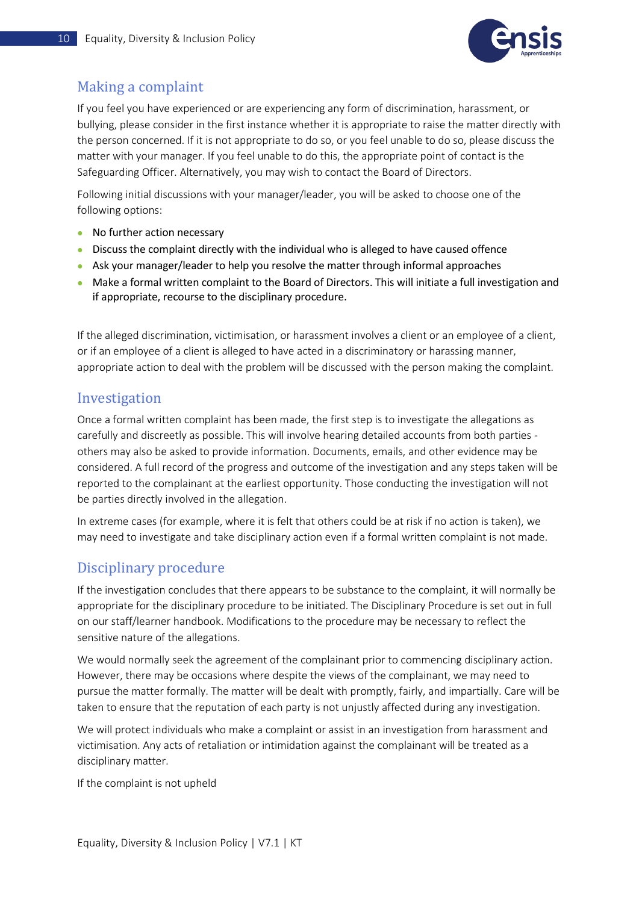

### <span id="page-10-0"></span>Making a complaint

If you feel you have experienced or are experiencing any form of discrimination, harassment, or bullying, please consider in the first instance whether it is appropriate to raise the matter directly with the person concerned. If it is not appropriate to do so, or you feel unable to do so, please discuss the matter with your manager. If you feel unable to do this, the appropriate point of contact is the Safeguarding Officer. Alternatively, you may wish to contact the Board of Directors.

Following initial discussions with your manager/leader, you will be asked to choose one of the following options:

- No further action necessary
- Discuss the complaint directly with the individual who is alleged to have caused offence
- Ask your manager/leader to help you resolve the matter through informal approaches
- Make a formal written complaint to the Board of Directors. This will initiate a full investigation and if appropriate, recourse to the disciplinary procedure.

If the alleged discrimination, victimisation, or harassment involves a client or an employee of a client, or if an employee of a client is alleged to have acted in a discriminatory or harassing manner, appropriate action to deal with the problem will be discussed with the person making the complaint.

#### <span id="page-10-1"></span>Investigation

Once a formal written complaint has been made, the first step is to investigate the allegations as carefully and discreetly as possible. This will involve hearing detailed accounts from both parties others may also be asked to provide information. Documents, emails, and other evidence may be considered. A full record of the progress and outcome of the investigation and any steps taken will be reported to the complainant at the earliest opportunity. Those conducting the investigation will not be parties directly involved in the allegation.

In extreme cases (for example, where it is felt that others could be at risk if no action is taken), we may need to investigate and take disciplinary action even if a formal written complaint is not made.

#### <span id="page-10-2"></span>Disciplinary procedure

If the investigation concludes that there appears to be substance to the complaint, it will normally be appropriate for the disciplinary procedure to be initiated. The Disciplinary Procedure is set out in full on our staff/learner handbook. Modifications to the procedure may be necessary to reflect the sensitive nature of the allegations.

We would normally seek the agreement of the complainant prior to commencing disciplinary action. However, there may be occasions where despite the views of the complainant, we may need to pursue the matter formally. The matter will be dealt with promptly, fairly, and impartially. Care will be taken to ensure that the reputation of each party is not unjustly affected during any investigation.

We will protect individuals who make a complaint or assist in an investigation from harassment and victimisation. Any acts of retaliation or intimidation against the complainant will be treated as a disciplinary matter.

If the complaint is not upheld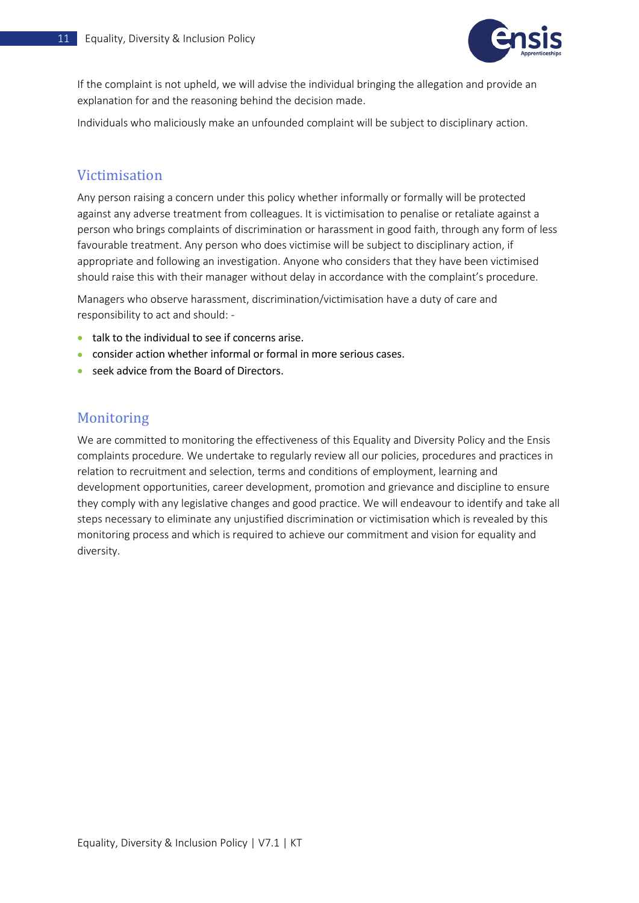

If the complaint is not upheld, we will advise the individual bringing the allegation and provide an explanation for and the reasoning behind the decision made.

Individuals who maliciously make an unfounded complaint will be subject to disciplinary action.

#### <span id="page-11-0"></span>Victimisation

Any person raising a concern under this policy whether informally or formally will be protected against any adverse treatment from colleagues. It is victimisation to penalise or retaliate against a person who brings complaints of discrimination or harassment in good faith, through any form of less favourable treatment. Any person who does victimise will be subject to disciplinary action, if appropriate and following an investigation. Anyone who considers that they have been victimised should raise this with their manager without delay in accordance with the complaint's procedure.

Managers who observe harassment, discrimination/victimisation have a duty of care and responsibility to act and should: -

- talk to the individual to see if concerns arise.
- consider action whether informal or formal in more serious cases.
- seek advice from the Board of Directors.

#### <span id="page-11-1"></span>Monitoring

We are committed to monitoring the effectiveness of this Equality and Diversity Policy and the Ensis complaints procedure. We undertake to regularly review all our policies, procedures and practices in relation to recruitment and selection, terms and conditions of employment, learning and development opportunities, career development, promotion and grievance and discipline to ensure they comply with any legislative changes and good practice. We will endeavour to identify and take all steps necessary to eliminate any unjustified discrimination or victimisation which is revealed by this monitoring process and which is required to achieve our commitment and vision for equality and diversity.